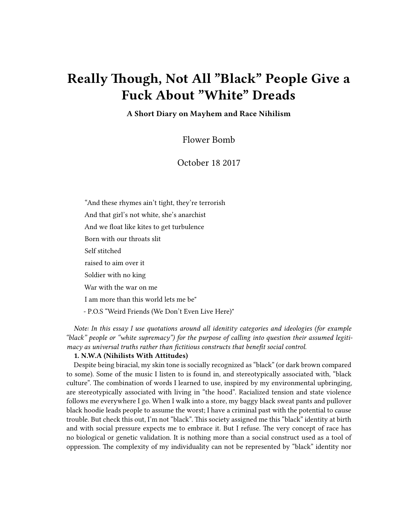# **Really Though, Not All "Black" People Give a Fuck About "White" Dreads**

**A Short Diary on Mayhem and Race Nihilism**

Flower Bomb

October 18 2017

"And these rhymes ain't tight, they're terrorish And that girl's not white, she's anarchist And we float like kites to get turbulence Born with our throats slit Self stitched raised to aim over it Soldier with no king War with the war on me I am more than this world lets me be" - P.O.S "Weird Friends (We Don't Even Live Here)"

*Note: In this essay I use quotations around all idenitity categories and ideologies (for example "black" people or "white supremacy") for the purpose of calling into question their assumed legitimacy as universal truths rather than fictitious constructs that benefit social control.*

#### **1. N.W.A (Nihilists With Attitudes)**

Despite being biracial, my skin tone is socially recognized as "black" (or dark brown compared to some). Some of the music I listen to is found in, and stereotypically associated with, "black culture". The combination of words I learned to use, inspired by my environmental upbringing, are stereotypically associated with living in "the hood". Racialized tension and state violence follows me everywhere I go. When I walk into a store, my baggy black sweat pants and pullover black hoodie leads people to assume the worst; I have a criminal past with the potential to cause trouble. But check this out, I'm not "black". This society assigned me this "black" identity at birth and with social pressure expects me to embrace it. But I refuse. The very concept of race has no biological or genetic validation. It is nothing more than a social construct used as a tool of oppression. The complexity of my individuality can not be represented by "black" identity nor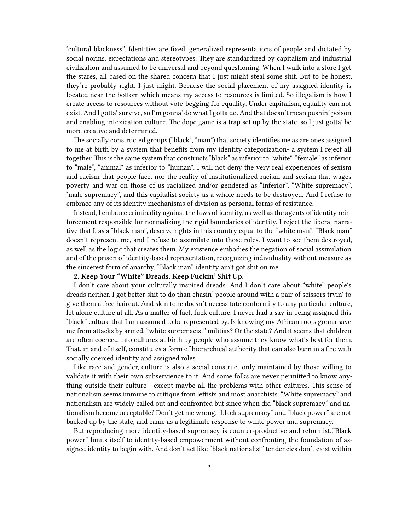"cultural blackness". Identities are fixed, generalized representations of people and dictated by social norms, expectations and stereotypes. They are standardized by capitalism and industrial civilization and assumed to be universal and beyond questioning. When I walk into a store I get the stares, all based on the shared concern that I just might steal some shit. But to be honest, they're probably right. I just might. Because the social placement of my assigned identity is located near the bottom which means my access to resources is limited. So illegalism is how I create access to resources without vote-begging for equality. Under capitalism, equality can not exist. And I gotta' survive, so I'm gonna' do what I gotta do. And that doesn't mean pushin' poison and enabling intoxication culture. The dope game is a trap set up by the state, so I just gotta' be more creative and determined.

The socially constructed groups ("black", "man") that society identifies me as are ones assigned to me at birth by a system that benefits from my identity categorization- a system I reject all together. This is the same system that constructs "black" as inferior to "white", "female" as inferior to "male", "animal" as inferior to "human". I will not deny the very real experiences of sexism and racism that people face, nor the reality of institutionalized racism and sexism that wages poverty and war on those of us racialized and/or gendered as "inferior". "White supremacy", "male supremacy", and this capitalist society as a whole needs to be destroyed. And I refuse to embrace any of its identity mechanisms of division as personal forms of resistance.

Instead, I embrace criminality against the laws of identity, as well as the agents of identity reinforcement responsible for normalizing the rigid boundaries of identity. I reject the liberal narrative that I, as a "black man", deserve rights in this country equal to the "white man". "Black man" doesn't represent me, and I refuse to assimilate into those roles. I want to see them destroyed, as well as the logic that creates them. My existence embodies the negation of social assimilation and of the prison of identity-based representation, recognizing individuality without measure as the sincerest form of anarchy. "Black man" identity ain't got shit on me.

### **2. Keep Your "White" Dreads. Keep Fuckin' Shit Up.**

I don't care about your culturally inspired dreads. And I don't care about "white" people's dreads neither. I got better shit to do than chasin' people around with a pair of scissors tryin' to give them a free haircut. And skin tone doesn't necessitate conformity to any particular culture, let alone culture at all. As a matter of fact, fuck culture. I never had a say in being assigned this "black" culture that I am assumed to be represented by. Is knowing my African roots gonna save me from attacks by armed, "white supremacist" militias? Or the state? And it seems that children are often coerced into cultures at birth by people who assume they know what's best for them. That, in and of itself, constitutes a form of hierarchical authority that can also burn in a fire with socially coerced identity and assigned roles.

Like race and gender, culture is also a social construct only maintained by those willing to validate it with their own subservience to it. And some folks are never permitted to know anything outside their culture - except maybe all the problems with other cultures. This sense of nationalism seems immune to critique from leftists and most anarchists. "White supremacy" and nationalism are widely called out and confronted but since when did "black supremacy" and nationalism become acceptable? Don't get me wrong, "black supremacy" and "black power" are not backed up by the state, and came as a legitimate response to white power and supremacy.

But reproducing more identity-based supremacy is counter-productive and reformist.."Black power" limits itself to identity-based empowerment without confronting the foundation of assigned identity to begin with. And don't act like "black nationalist" tendencies don't exist within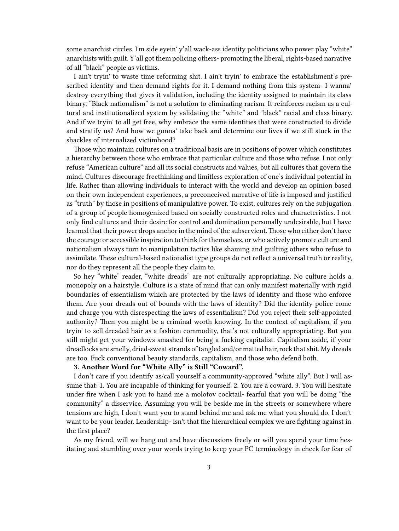some anarchist circles. I'm side eyein' y'all wack-ass identity politicians who power play "white" anarchists with guilt. Y'all got them policing others- promoting the liberal, rights-based narrative of all "black" people as victims.

I ain't tryin' to waste time reforming shit. I ain't tryin' to embrace the establishment's prescribed identity and then demand rights for it. I demand nothing from this system- I wanna' destroy everything that gives it validation, including the identity assigned to maintain its class binary. "Black nationalism" is not a solution to eliminating racism. It reinforces racism as a cultural and institutionalized system by validating the "white" and "black" racial and class binary. And if we tryin' to all get free, why embrace the same identities that were constructed to divide and stratify us? And how we gonna' take back and determine our lives if we still stuck in the shackles of internalized victimhood?

Those who maintain cultures on a traditional basis are in positions of power which constitutes a hierarchy between those who embrace that particular culture and those who refuse. I not only refuse "American culture" and all its social constructs and values, but all cultures that govern the mind. Cultures discourage freethinking and limitless exploration of one's individual potential in life. Rather than allowing individuals to interact with the world and develop an opinion based on their own independent experiences, a preconceived narrative of life is imposed and justified as "truth" by those in positions of manipulative power. To exist, cultures rely on the subjugation of a group of people homogenized based on socially constructed roles and characteristics. I not only find cultures and their desire for control and domination personally undesirable, but I have learned that their power drops anchor in the mind of the subservient. Those who either don't have the courage or accessible inspiration to think for themselves, or who actively promote culture and nationalism always turn to manipulation tactics like shaming and guilting others who refuse to assimilate. These cultural-based nationalist type groups do not reflect a universal truth or reality, nor do they represent all the people they claim to.

So hey "white" reader, "white dreads" are not culturally appropriating. No culture holds a monopoly on a hairstyle. Culture is a state of mind that can only manifest materially with rigid boundaries of essentialism which are protected by the laws of identity and those who enforce them. Are your dreads out of bounds with the laws of identity? Did the identity police come and charge you with disrespecting the laws of essentialism? Did you reject their self-appointed authority? Then you might be a criminal worth knowing. In the context of capitalism, if you tryin' to sell dreaded hair as a fashion commodity, that's not culturally appropriating. But you still might get your windows smashed for being a fucking capitalist. Capitalism aside, if your dreadlocks are smelly, dried-sweat strands of tangled and/or matted hair, rock that shit. My dreads are too. Fuck conventional beauty standards, capitalism, and those who defend both.

## **3. Another Word for "White Ally" is Still "Coward".**

I don't care if you identify as/call yourself a community-approved "white ally". But I will assume that: 1. You are incapable of thinking for yourself. 2. You are a coward. 3. You will hesitate under fire when I ask you to hand me a molotov cocktail- fearful that you will be doing "the community" a disservice. Assuming you will be beside me in the streets or somewhere where tensions are high, I don't want you to stand behind me and ask me what you should do. I don't want to be your leader. Leadership- isn't that the hierarchical complex we are fighting against in the first place?

As my friend, will we hang out and have discussions freely or will you spend your time hesitating and stumbling over your words trying to keep your PC terminology in check for fear of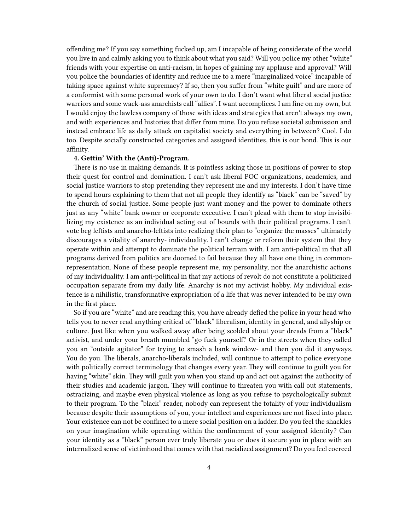offending me? If you say something fucked up, am I incapable of being considerate of the world you live in and calmly asking you to think about what you said? Will you police my other "white" friends with your expertise on anti-racism, in hopes of gaining my applause and approval? Will you police the boundaries of identity and reduce me to a mere "marginalized voice" incapable of taking space against white supremacy? If so, then you suffer from "white guilt" and are more of a conformist with some personal work of your own to do. I don't want what liberal social justice warriors and some wack-ass anarchists call "allies". I want accomplices. I am fine on my own, but I would enjoy the lawless company of those with ideas and strategies that aren't always my own, and with experiences and histories that differ from mine. Do you refuse societal submission and instead embrace life as daily attack on capitalist society and everything in between? Cool. I do too. Despite socially constructed categories and assigned identities, this is our bond. This is our affinity.

### **4. Gettin' With the (Anti)-Program.**

There is no use in making demands. It is pointless asking those in positions of power to stop their quest for control and domination. I can't ask liberal POC organizations, academics, and social justice warriors to stop pretending they represent me and my interests. I don't have time to spend hours explaining to them that not all people they identify as "black" can be "saved" by the church of social justice. Some people just want money and the power to dominate others just as any "white" bank owner or corporate executive. I can't plead with them to stop invisibilizing my existence as an individual acting out of bounds with their political programs. I can't vote beg leftists and anarcho-leftists into realizing their plan to "organize the masses" ultimately discourages a vitality of anarchy- individuality. I can't change or reform their system that they operate within and attempt to dominate the political terrain with. I am anti-political in that all programs derived from politics are doomed to fail because they all have one thing in commonrepresentation. None of these people represent me, my personality, nor the anarchistic actions of my individuality. I am anti-political in that my actions of revolt do not constitute a politicized occupation separate from my daily life. Anarchy is not my activist hobby. My individual existence is a nihilistic, transformative expropriation of a life that was never intended to be my own in the first place.

So if you are "white" and are reading this, you have already defied the police in your head who tells you to never read anything critical of "black" liberalism, identity in general, and allyship or culture. Just like when you walked away after being scolded about your dreads from a "black" activist, and under your breath mumbled "go fuck yourself." Or in the streets when they called you an "outside agitator" for trying to smash a bank window- and then you did it anyways. You do you. The liberals, anarcho-liberals included, will continue to attempt to police everyone with politically correct terminology that changes every year. They will continue to guilt you for having "white" skin. They will guilt you when you stand up and act out against the authority of their studies and academic jargon. They will continue to threaten you with call out statements, ostracizing, and maybe even physical violence as long as you refuse to psychologically submit to their program. To the "black" reader, nobody can represent the totality of your individualism because despite their assumptions of you, your intellect and experiences are not fixed into place. Your existence can not be confined to a mere social position on a ladder. Do you feel the shackles on your imagination while operating within the confinement of your assigned identity? Can your identity as a "black" person ever truly liberate you or does it secure you in place with an internalized sense of victimhood that comes with that racialized assignment? Do you feel coerced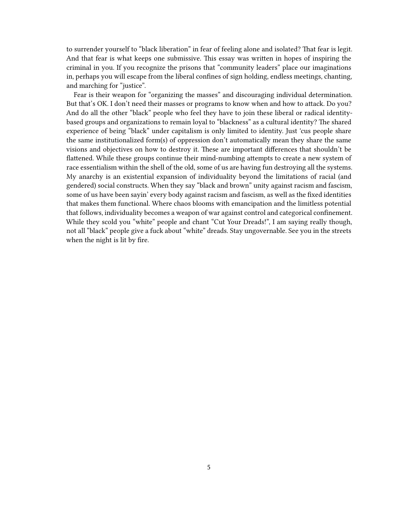to surrender yourself to "black liberation" in fear of feeling alone and isolated? That fear is legit. And that fear is what keeps one submissive. This essay was written in hopes of inspiring the criminal in you. If you recognize the prisons that "community leaders" place our imaginations in, perhaps you will escape from the liberal confines of sign holding, endless meetings, chanting, and marching for "justice".

Fear is their weapon for "organizing the masses" and discouraging individual determination. But that's OK. I don't need their masses or programs to know when and how to attack. Do you? And do all the other "black" people who feel they have to join these liberal or radical identitybased groups and organizations to remain loyal to "blackness" as a cultural identity? The shared experience of being "black" under capitalism is only limited to identity. Just 'cus people share the same institutionalized form(s) of oppression don't automatically mean they share the same visions and objectives on how to destroy it. These are important differences that shouldn't be flattened. While these groups continue their mind-numbing attempts to create a new system of race essentialism within the shell of the old, some of us are having fun destroying all the systems. My anarchy is an existential expansion of individuality beyond the limitations of racial (and gendered) social constructs. When they say "black and brown" unity against racism and fascism, some of us have been sayin' every body against racism and fascism, as well as the fixed identities that makes them functional. Where chaos blooms with emancipation and the limitless potential that follows, individuality becomes a weapon of war against control and categorical confinement. While they scold you "white" people and chant "Cut Your Dreads!", I am saying really though, not all "black" people give a fuck about "white" dreads. Stay ungovernable. See you in the streets when the night is lit by fire.